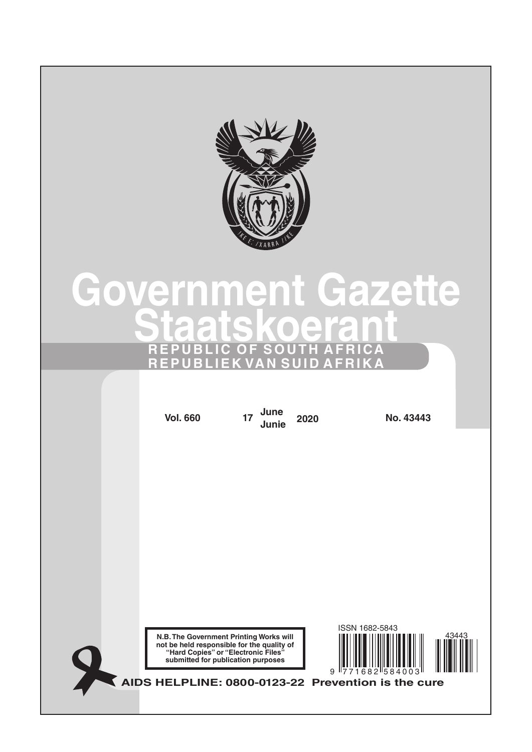

# **Government Gazette Staatskoerant REPUBLIC OF SOUTH AFRICA REPUBLIEK VAN SUID AFRIKA**

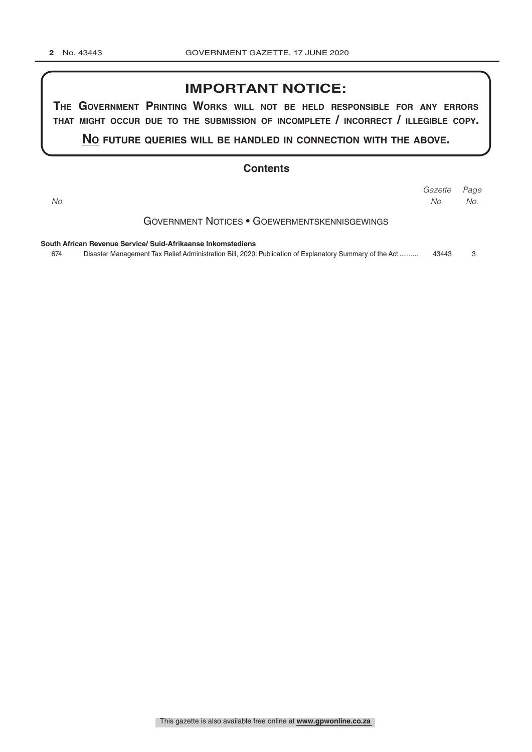### **IMPORTANT NOTICE:**

**The GovernmenT PrinTinG Works Will noT be held resPonsible for any errors ThaT miGhT occur due To The submission of incomPleTe / incorrecT / illeGible coPy.**

**no fuTure queries Will be handled in connecTion WiTh The above.**

#### **Contents**

|                                                              | Gazette Page |     |
|--------------------------------------------------------------|--------------|-----|
| No.                                                          | No.          | No. |
| GOVERNMENT NOTICES • GOEWERMENTSKENNISGEWINGS                |              |     |
| South African Revenue Service/ Suid-Afrikaanse Inkomstediens |              |     |

674 Disaster Management Tax Relief Administration Bill, 2020: Publication of Explanatory Summary of the Act .......... 43443 3